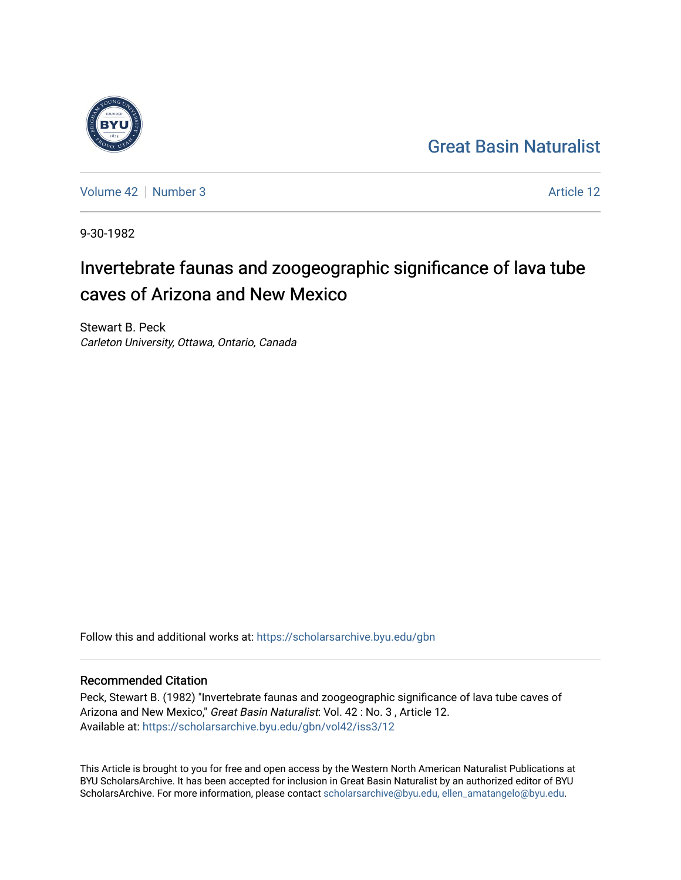## [Great Basin Naturalist](https://scholarsarchive.byu.edu/gbn)



[Volume 42](https://scholarsarchive.byu.edu/gbn/vol42) [Number 3](https://scholarsarchive.byu.edu/gbn/vol42/iss3) Article 12

9-30-1982

# Invertebrate faunas and zoogeographic significance of lava tube caves of Arizona and New Mexico

Stewart B. Peck Carleton University, Ottawa, Ontario, Canada

Follow this and additional works at: [https://scholarsarchive.byu.edu/gbn](https://scholarsarchive.byu.edu/gbn?utm_source=scholarsarchive.byu.edu%2Fgbn%2Fvol42%2Fiss3%2F12&utm_medium=PDF&utm_campaign=PDFCoverPages) 

### Recommended Citation

Peck, Stewart B. (1982) "Invertebrate faunas and zoogeographic significance of lava tube caves of Arizona and New Mexico," Great Basin Naturalist: Vol. 42: No. 3, Article 12. Available at: [https://scholarsarchive.byu.edu/gbn/vol42/iss3/12](https://scholarsarchive.byu.edu/gbn/vol42/iss3/12?utm_source=scholarsarchive.byu.edu%2Fgbn%2Fvol42%2Fiss3%2F12&utm_medium=PDF&utm_campaign=PDFCoverPages) 

This Article is brought to you for free and open access by the Western North American Naturalist Publications at BYU ScholarsArchive. It has been accepted for inclusion in Great Basin Naturalist by an authorized editor of BYU ScholarsArchive. For more information, please contact [scholarsarchive@byu.edu, ellen\\_amatangelo@byu.edu.](mailto:scholarsarchive@byu.edu,%20ellen_amatangelo@byu.edu)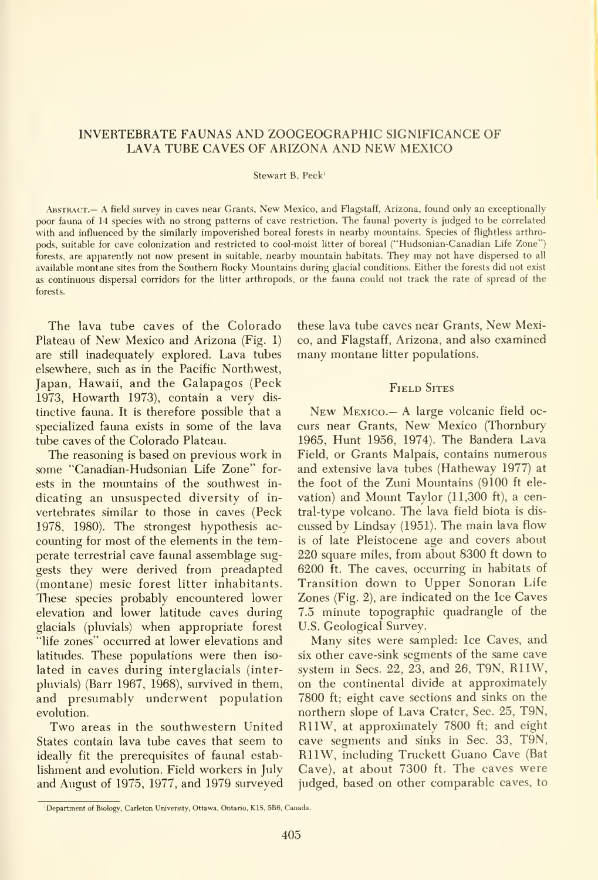#### INVERTEBRATE FAUNAS AND ZOOGEOGRAPHIC SIGNIFICANCE OF LAVA TUBE CAVES OF ARIZONA AND NEW MEXICO

#### Stewart B. Peck'

.Abstract.— A field survey in caves near Grants, New Mexico, and Flagstaff, Arizona, found only an exceptionally poor fauna of 14 species with no strong patterns of cave restriction. The faunal poverty is judged to be correlated with and influenced by the similarly impoverished boreal forests in nearby mountains. Species of flightless arthropods, suitable for cave colonization and restricted to cool-moist litter of boreal ("Hudsonian-Canadian Life Zone") forests, are apparently not now present in suitable, nearby mountain habitats. They may not have dispersed to all available montane sites from the Southern Rocky Mountains during glacial conditions. Either the forests did not exist as continuous dispersal corridors for the litter arthropods, or the fauna could not track the rate of spread of the forests.

The lava tube caves of the Colorado Plateau of New Mexico and Arizona (Fig. 1) are still inadequately explored. Lava tubes elsewhere, such as in the Pacific Northwest, Japan, Hawaii, and the Galapagos (Peck 1973, Howarth 1973), contain a very dis tinctive fauna. It is therefore possible that a specialized fauna exists in some of the lava tube caves of the Colorado Plateau.

The reasoning is based on previous work in some "Canadian-Hudsonian Life Zone" forests in the mountains of the southwest in dicating an unsuspected diversity of in vertebrates similar to those in caves (Peck 1978, 1980). The strongest hypothesis ac counting for most of the elements in the temperate terrestrial cave faunal assemblage suggests they were derived from preadapted (montane) mesic forest litter inhabitants. These species probably encountered lower elevation and lower latitude caves during glacials (pluvials) when appropriate forest "life zones" occurred at lower elevations and latitudes. These populations were then iso lated in caves during interglacials (interpluvials) (Barr 1967, 1968), survived in them, and presumably underwent population evolution.

Two areas in the southwestern United States contain lava tube caves that seem to ideally fit the prerequisites of faunal estab lishment and evolution. Field workers in July and August of 1975, 1977, and 1979 surveyed these lava tube caves near Grants, New Mexico, and Flagstaff, Arizona, and also examined many montane litter populations.

#### FIELD SITES

New Mexico.— A large volcanic field oc curs near Grants, New Mexico (Thornbury 1965, Hunt 1956, 1974). The Bandera Lava Field, or Grants Malpais, contains numerous and extensive lava tubes (Hatheway 1977) at the foot of the Zuni Mountains (9100 ft ele vation) and Mount Taylor (11,300 ft), a central-type volcano. The lava field biota is dis cussed by Lindsay (1951). The main lava flow is of late Pleistocene age and covers about 220 square miles, from about 8300 ft down to 6200 ft. The caves, occurring in habitats of Transition down to Upper Sonoran Life Zones (Fig. 2), are indicated on the Ice Caves 7.5 minute topographic quadrangle of the U.S. Geological Survey.

Many sites were sampled: Ice Caves, and six other cave-sink segments of the same cave system in Sees. 22, 23, and 26, T9N, RllW, on the continental divide at approximately 7800 ft; eight cave sections and sinks on the northern slope of Lava Crater, Sec. 25, T9N, RllW, at approximately 7800 ft; and eight cave segments and sinks in Sec. 33, T9N, RllW, including Truckett Guano Cave (Bat Cave), at about 7300 ft. The caves were judged, based on other comparable caves, to

<sup>&#</sup>x27;Department of Biology, Carleton University. Ottawa, Ontario, KIS, 5B6, Canada.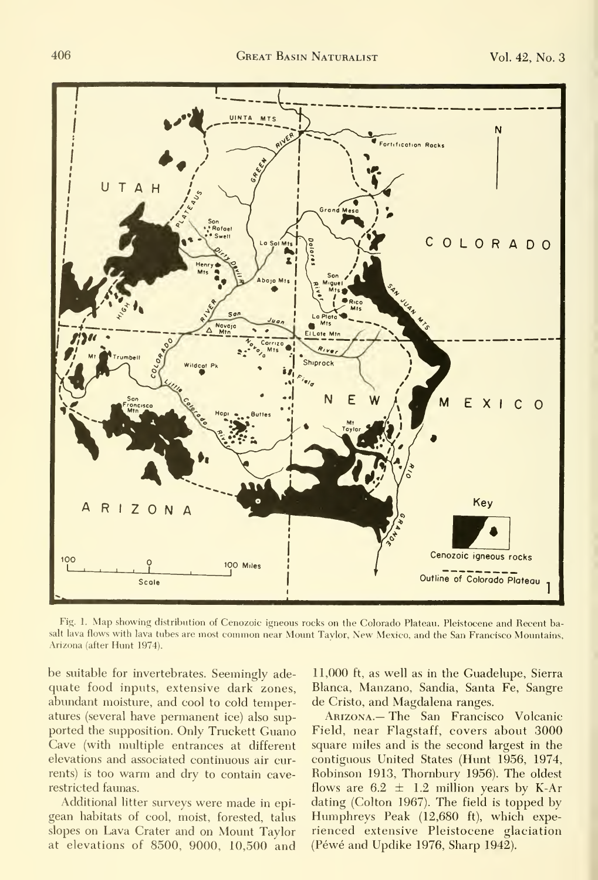

Fig. 1. Map showing distribution of Cenozoic igneous rocks on the Colorado Plateau. Pleistocene and Recent basalt lava flows with lava tubes are most common near Mount Taylor, New Mexico, and the San Francisco Mountains, Arizona (after Hunt 1974).

be suitable for invertebrates. Seemingly adequate food inputs, extensive dark zones, abundant moisture, and cool to cold temperatures (several have permanent ice) also sup ported the supposition. Only Truckett Guano Cave (with multiple entrances at different elevations and associated continuous air currents) is too warm and dry to contain caverestricted faunas.

Additional litter surveys were made in epigean habitats of cool, moist, forested, talus slopes on Lava Crater and on Mount Taylor at elevations of 8500, 9000, 10,500 and

11,000 ft, as well as in the Guadelupe, Sierra Blanca, Manzano, Sandia, Santa Fe, Sangre de Cristo, and Magdalena ranges.

Arizona.— The San Francisco Volcanic Field, near Flagstaff, covers about 3000 square miles and is the second largest in the contiguous United States (Hunt 1956, 1974, Robinson 1913, Thornbury 1956). The oldest flows are  $6.2 \pm 1.2$  million years by K-Ar dating (Colton 1967). The field is topped by Humphreys Peak (12,680 ft), which expe rienced extensive Pleistocene glaciation (Péwé and Updike 1976, Sharp 1942).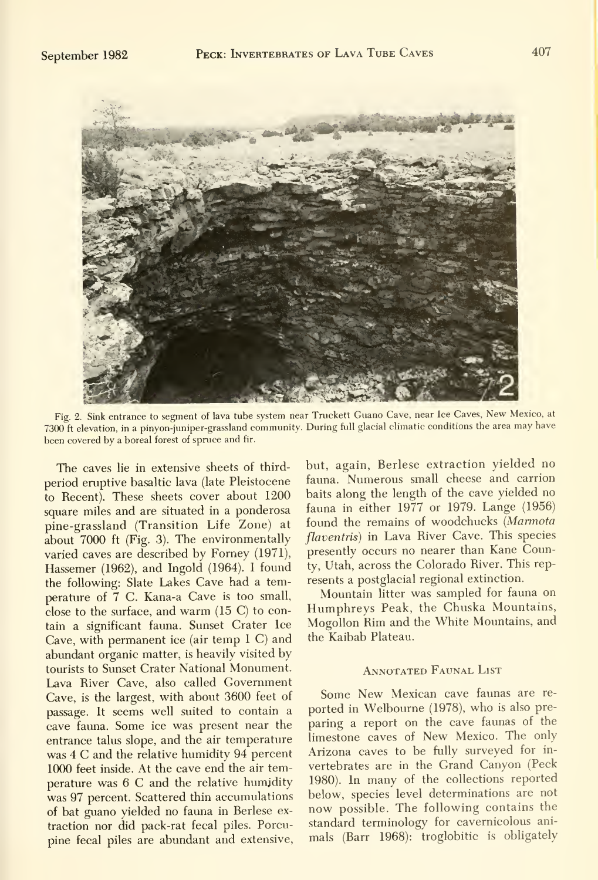

Fig. 2. Sink entrance to segment of lava tube system near Truckett Guano Cave, near Ice Caves, New Mexico, at 7300 ft elevation, in a pinyon-juniper-grassland community. During full glacial climatic conditions the area may have been covered by <sup>a</sup> boreal forest of spruce and fir.

The caves lie in extensive sheets of third period eruptive basaltic lava (late Pleistocene to Recent). These sheets cover about 1200 square miles and are situated in a ponderosa pine-grassland (Transition Life Zone) at about 7000 ft (Fig. 3). The environmentally varied caves are described by Forney (1971), Hassemer (1962), and Ingold (1964). <sup>I</sup> found the following: Slate Lakes Cave had a temperature of 7 C. Kana-a Cave is too small, close to the surface, and warm (15 C) to contain a significant fauna. Sunset Crater Ice Cave, with permanent ice (air temp <sup>1</sup> C) and abundant organic matter, is heavily visited by tourists to Sunset Crater National Monument. Lava River Cave, also called Government Cave, is the largest, with about 3600 feet of passage. It seems well suited to contain a cave fauna. Some ice was present near the entrance talus slope, and the air temperature was 4 C and the relative humidity 94 percent 1000 feet inside. At the cave end the air temperature was 6 C and the relative humidity was 97 percent. Scattered thin accumulations of bat guano yielded no fauna in Berlese ex traction nor did pack-rat fecal piles. Porcupine fecal piles are abundant and extensive, but, again, Berlese extraction yielded no fauna. Numerous small cheese and carrion baits along the length of the cave yielded no fauna in either 1977 or 1979. Lange (1956) found the remains of woodchucks (Marmota flaventris) in Lava River Cave. This species presently occurs no nearer than Kane County, Utah, across the Colorado River. This represents a postglacial regional extinction.

Mountain litter was sampled for fauna on Humphreys Peak, the Chuska Mountains, Mogollon Rim and the White Mountains, and the Kaibab Plateau.

#### Annotated Faunal List

Some New Mexican cave faunas are re ported in Welbourne (1978), who is also pre paring a report on the cave faunas of the limestone caves of New Mexico. The only Arizona caves to be fully surveyed for in vertebrates are in the Grand Canyon (Peck 1980). In many of the collections reported below, species level determinations are not now possible. The following contains the standard terminology for cavernicolous ani mals (Barr 1968): troglobitic is obligately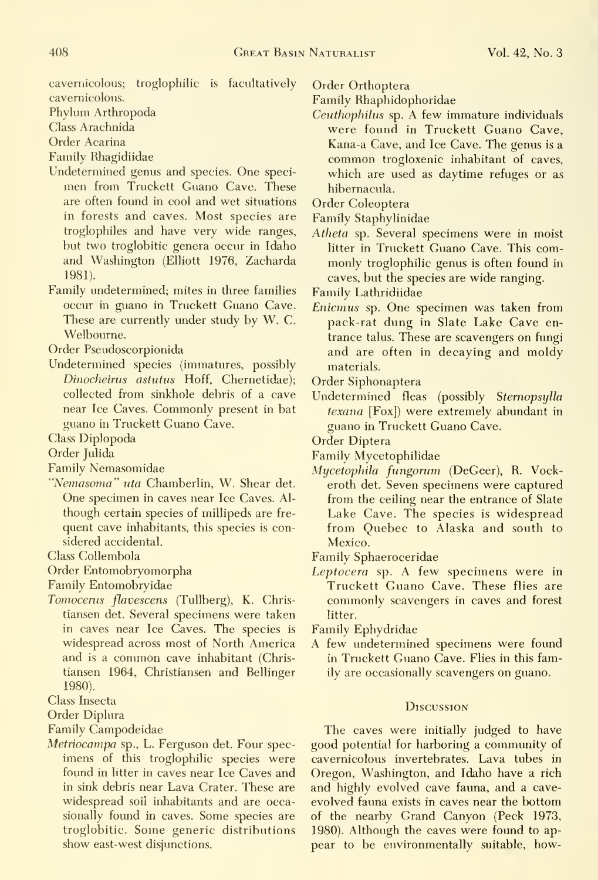cavemicolous; troglophilic is facultatively cavemicolous.

Phylum Arthropoda

Class Arachnida

Order Acarina

Family Rhagidiidae

Undetermined genus and species. One speci-

- men from Truckett Guano Cave. These are often found in cool and wet situations in forests and caves. Most species are troglophiles and have very wide ranges, but two troglobitic genera occur in Idaho and Washington (Elliott 1976, Zacharda 1981).
- Family undetermined; mites in three families occur in guano in Truckett Guano Cave. These are currently under study by W. C. Welbourne.

Order Pseudoscorpionida

Undetermined species (immatures, possibly Dinocheirus astutus Hoff, Chernetidae); collected from sinkhole debris of a cave near Ice Caves. Commonly present in bat guano in Truckett Guano Cave.

Class Diplopoda

Order Julida

Family Nemasomidae

"Nemasoma" uta Chamberlin, W. Shear det. One specimen in caves near Ice Caves. Al though certain species of millipeds are fre quent cave inhabitants, this species is considered accidental.

Class Collembola

Order Entomobryomorpha

Family Entomobryidae

Tomocerus flavescens (Tullberg), K. Christiansen det. Several specimens were taken in caves near Ice Caves. The species is widespread across most of North America and is <sup>a</sup> common cave inhabitant (Chris tiansen 1964, Christiansen and Bellinger 1980).

Class Insecta

Order Diplura

Family Campodeidae

Metriocampa sp., L. Ferguson det. Four spec imens of this troglophilic species were found in litter in caves near Ice Caves and in sink debris near Lava Crater. These are widespread soil inhabitants and are occasionally found in caves. Some species are troglobitic. Some generic distributions show east-west disjunctions.

Order Orthoptera

Family Rhaphidophoridae

Ceuthophilus sp. A few immature individuals were found in Truckett Guano Cave, Kana-a Cave, and Ice Cave. The genus isa common trogloxenic inhabitant of caves, which are used as daytime refuges or as hibernacula.

Order Coleoptera

Family Staphylinidae

Atheta sp. Several specimens were in moist litter in Truckett Guano Cave. This commonly troglophilic genus is often found in caves, but the species are wide ranging.

Family Lathridiidae

Enicmus sp. One specimen was taken from pack-rat dung in Slate Lake Cave entrance talus. These are scavengers on fungi and are often in decaying and moldy materials.

Order Siphonaptera

Undetermined fleas (possibly Sternopsylla texana [Fox]) were extremely abundant in guano in Truckett Guano Cave.

Order Diptera

Family Mycetophilidae

Mycetophila fungorum (DeGeer), R. Vockeroth det. Seven specimens were captured from the ceiling near the entrance of Slate Lake Cave. The species is widespread from Quebec to Alaska and south to Mexico.

Family Sphaeroceridae

Leptocera sp. A few specimens were in Truckett Guano Cave. These flies are commonly scavengers in caves and forest litter.

Family Ephydridae

A few undetermined specimens were found in Truckett Guano Cave. Flies in this family are occasionally scavengers on guano.

#### Discussion

The caves were initially judged to have good potential for harboring a community of cavemicolous invertebrates. Lava tubes in Oregon, Washington, and Idaho have a rich and highly evolved cave fauna, and a cave evolved fauna exists in caves near the bottom of the nearby Grand Canyon (Peck 1973, 1980). Although the caves were found to ap pear to be environmentally suitable, how-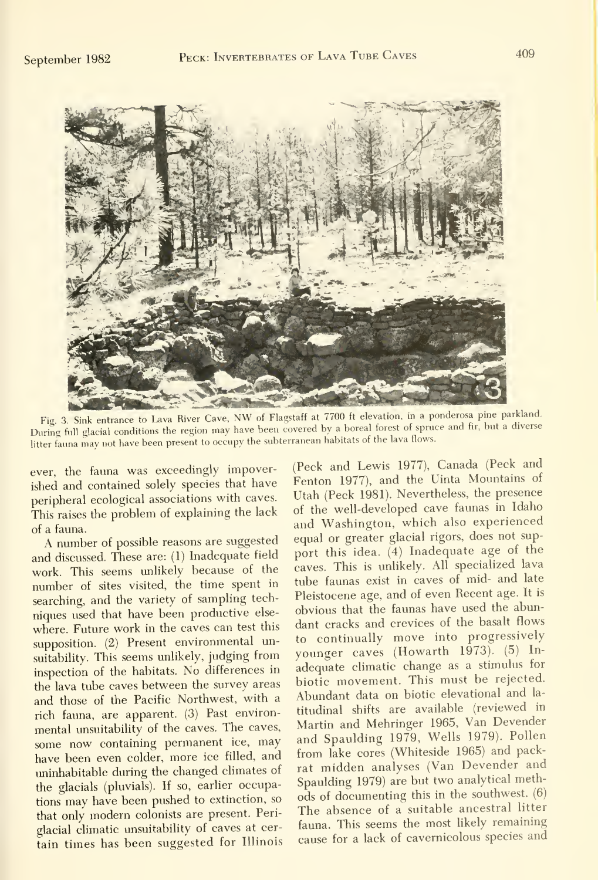

Fig. 3. Sink entrance to Lava River Cave, NW of Flagstaff at 7700 ft elevation, in a ponderosa pine parkland. During full glacial conditions the region may have been covered by <sup>a</sup> boreal forest of spruce and fir, but <sup>a</sup> diverse litter fauna may not have been present to occupy the subterranean habitats of the lava flows.

ever, the fauna was exceedingly impoverished and contained solely species that have peripheral ecological associations with caves. This raises the problem of explaining the lack of a fauna.

A number of possible reasons are suggested and discussed. These are: (1) Inadequate field work. This seems unlikely because of the number of sites visited, the time spent in searching, and the variety of sampling tech niques used that have been productive else where. Future work in the caves can test this supposition. (2) Present environmental unsuitability. This seems unlikely, judging from inspection of the habitats. No differences in the lava tube caves between the survey areas and those of the Pacific Northwest, with <sup>a</sup> rich fauna, are apparent. (3) Past environmental unsuitability of the caves. The caves, some now containing permanent ice, may have been even colder, more ice filled, and uninhabitable during the changed climates of the glacials (pluvials). If so, earlier occupations may have been pushed to extinction, so that only modern colonists are present. Periglacial climatic unsuitability of caves at cer tain times has been suggested for Illinois

(Peck and Lewis 1977), Canada (Peck and Fenton 1977), and the Uinta Mountains of Utah (Peck 1981). Nevertheless, the presence of the well-developed cave faunas in Idaho and Washington, which also experienced equal or greater glacial rigors, does not sup port this idea. (4) Inadequate age of the caves. This is unlikely. All specialized lava tube faunas exist in caves of mid- and late Pleistocene age, and of even Recent age. It is obvious that the faunas have used the abundant cracks and crevices of the basalt flows to continually move into progressively younger caves (Howarth 1973). (5) In adequate climatic change as a stimulus for biotic movement. This must be rejected. Abundant data on biotic elevational and la titudinal shifts are available (reviewed in Martin and Mehringer 1965, Van Devender and Spaulding 1979, Wells 1979). Pollen from lake cores (Whiteside 1965) and packrat midden analyses (Van Devender and Spaulding 1979) are but two analytical methods of documenting this in the southwest. (6) The absence of <sup>a</sup> suitable ancestral litter fauna. This seems the most likely remaining cause for <sup>a</sup> lack of cavernicolous species and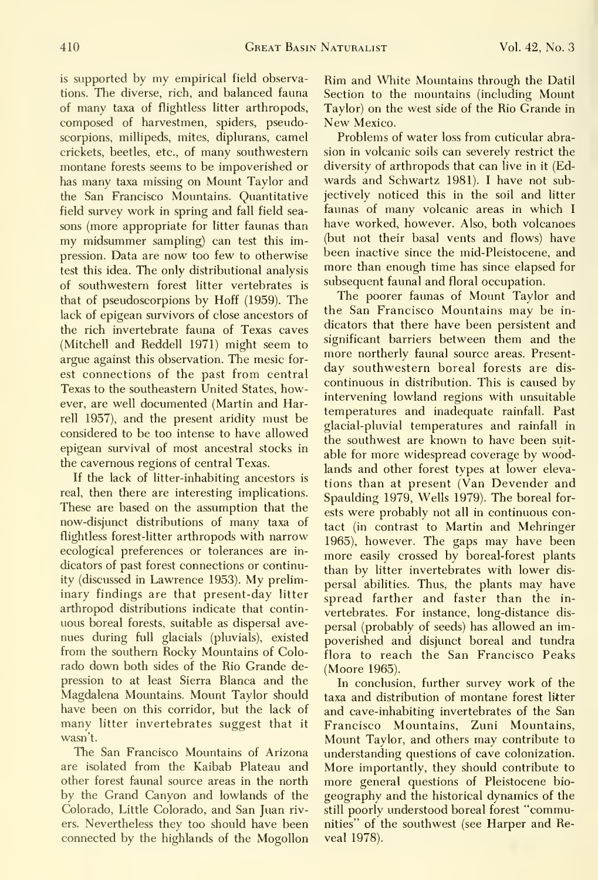is supported by my empirical field observations. The diverse, rich, and balanced fauna of many taxa of flightless litter arthropods, composed of harvestmen, spiders, pseudoscorpions, millipeds, mites, diplurans, camel crickets, beetles, etc., of many southwestern montane forests seems to be impoverished or has many taxa missing on Mount Taylor and the San Francisco Mountains. Quantitative field survey work in spring and fall field sea sons (more appropriate for litter faunas than my midsummer sampling) can test this impression. Data are now too few to otherwise test this idea. The only distributional analysis of southwestern forest litter vertebrates is that of pseudoscorpions by Hoff (1959). The lack of epigean survivors of close ancestors of the rich invertebrate fauna of Texas caves (Mitchell and Reddell 1971) might seem to argue against this observation. The mesic for est connections of the past from central Texas to the southeastern United States, however, are well documented (Martin and Harrell 1957), and the present aridity must be considered to be too intense to have allowed epigean survival of most ancestral stocks in the cavernous regions of central Texas.

If the lack of litter-inhabiting ancestors is real, then there are interesting implications. These are based on the assumption that the now-disjunct distributions of many taxa of flightless forest-litter arthropods with narrow ecological preferences or tolerances are in dicators of past forest connections or continuity (discussed in Lawrence 1953). My preliminary findings are that present-day litter arthropod distributions indicate that contin uous boreal forests, suitable as dispersal ave nues during full glacials (pluvials), existed from the southern Rocky Mountains of Colorado down both sides of the Rio Grande depression to at least Sierra Blanca and the Magdalena Mountains. Mount Taylor should have been on this corridor, but the lack of many litter invertebrates suggest that it wasn't.

The San Francisco Mountains of Arizona are isolated from the Kaibab Plateau and other forest faunal source areas in the north by the Grand Canyon and lowlands of the Colorado, Little Colorado, and San Juan rivers. Nevertheless they too should have been connected by the highlands of the Mogollon Rim and White Mountains through the Datil Section to the mountains (including Mount Taylor) on the west side of the Rio Grande in New Mexico.

Problems of water loss from cuticular abrasion in volcanic soils can severely restrict the diversity of arthropods that can live in it (Edwards and Schwartz 1981). <sup>I</sup> have not subjectively noticed this in the soil and litter faunas of many volcanic areas in which <sup>I</sup> have worked, however. Also, both volcanoes (but not their basal vents and flows) have been inactive since the mid-Pleistocene, and more than enough time has since elapsed for subsequent faunal and floral occupation.

The poorer faunas of Mount Taylor and the San Francisco Mountains may be in dicators that there have been persistent and significant barriers between them and the more northerly faunal source areas. Present day southwestern boreal forests are dis continuous in distribution. This is caused by intervening lowland regions with unsuitable temperatures and inadequate rainfall. Past glacial-pluvial temperatures and rainfall in the southwest are known to have been suit able for more widespread coverage by woodlands and other forest types at lower eleva tions than at present (Van Devender and Spaulding 1979, Wells 1979). The boreal forests were probably not all in continuous contact (in contrast to Martin and Mehringer 1965), however. The gaps may have been more easily crossed by boreal-forest plants than by litter invertebrates with lower dis persal abilities. Thus, the plants may have spread farther and faster than the in vertebrates. For instance, long-distance dis persal (probably of seeds) has allowed an impoverished and disjunct boreal and tundra flora to reach the San Francisco Peaks (Moore 1965).

In conclusion, further survey work of the taxa and distribution of montane forest litter and cave-inhabiting invertebrates of the San Francisco Mountains, Zuni Mountains, Mount Taylor, and others may contribute to understanding questions of cave colonization. More importantly, they should contribute to more general questions of Pleistocene bio geography and the historical dynamics of the still poorly understood boreal forest "communities" of the southwest (see Harper and Reveal 1978).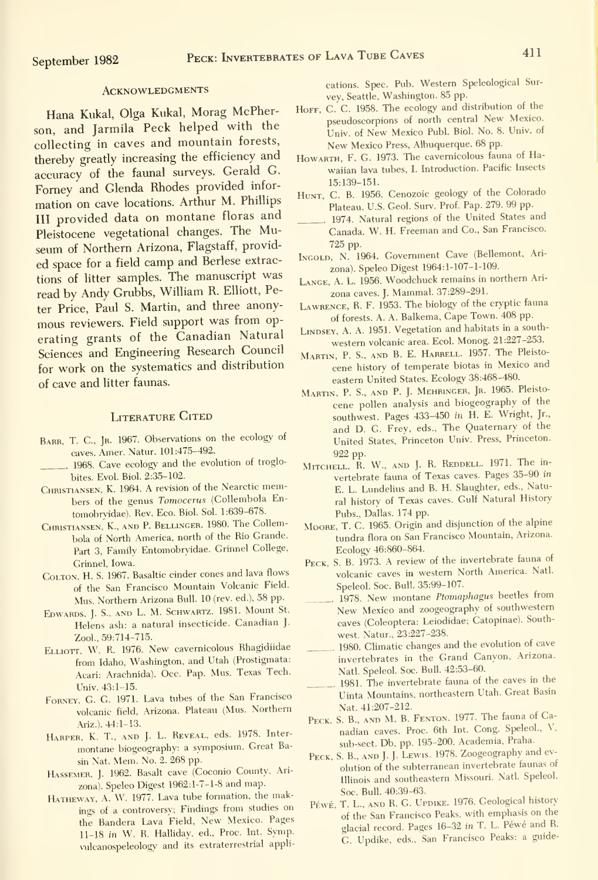#### **ACKNOWLEDGMENTS**

Hana Kukal, Olga Kukal, Morag McPherson, and Jarmila Peck helped with the collecting in caves and mountain forests, thereby greatly increasing the efficiency and accuracy of the faunal surveys. Gerald G. Forney and Glenda Rhodes provided infor mation on cave locations. Arthur M. Phillips III provided data on montane floras and Pleistocene vegetational changes. The Museum of Northern Arizona, Flagstaff, provided space for <sup>a</sup> field camp and Berlese extractions of litter samples. The manuscript was read by Andy Grubbs, William R. Elliott, Peter Price, Paul S. Martin, and three anony mous reviewers. Field support was from op erating grants of the Canadian Natural Sciences and Engineering Research Council for work on the systematics and distribution of cave and litter faunas.

#### LITERATURE CITED

- BARR, T. C., JR. 1967. Observations on the ecology of caves. Amer. Natur. 101:475-492.
- . 1968. Cave ecology and the evolution of troglobites. Evol. Biol. 2:35-102.
- Christiansen, K. 1964. A revision of the Nearctic members of the genus Tomocerus (Collembola Entomobryidae). Rev. Eco. Biol. Sol. 1:639-678.
- CHRISTIANSEN, K., AND P. BELLINGER. 1980. The Collembola of North America, north of the Rio Grande. Part 3, Family Entomobryidae. Grinnel College, Grinnel, Iowa.
- CoLTON, H. S. 1967. Basaltic cinder cones and lava flows of the San Francisco Mountain Volcanic Field. Mus. Northern Arizona Bull. <sup>10</sup> (rev. ed.), 58 pp.
- Edwards, J. S., and L. M. Schwartz. 1981. Mount St. Helens ash: <sup>a</sup> natural insecticide. Canadian J. Zool, 59:714-715.
- Elliott, W. R. 1976. New cavemicolous Rhagidiidae from Idaho, Washington, and Utah (Prostigmata: Acari: Arachnida). Occ. Pap. Mus. Texas Tech. Univ. 43:1-15.
- Forney, G. G. 1971. Lava tubes of the San Francisco volcanic field, Arizona. Plateau (Mus. Northern Ariz.). 44:1-13.
- Harper, K. T., and J. L. Reveal, eds. 1978. Inter montane biogeography: <sup>a</sup> symposium. Great Basin Nat. Mem. No. 2. 268 pp.
- Hassemer, J. 1962. Basalt cave (Coconio County, Arizona). Speleo Digest 1962:1-7-1-8 and map.
- HATHEWAY, A. W. 1977. Lava tube formation, the makings of <sup>a</sup> controversy; Findings from studies on the Bandera Lava Field, New Mexico. Pages 11-18 in W. R. Halliday, ed., Proc. Int. Symp. vulcanospeleology and its extraterrestrial appli-

cations. Spec. Pub. Western Speleological Sur vey, Seattle, Washington. 85 pp.

- Horr, C. C. 1958. The ecology and distribution of the pseudoscorpions of north central New Mexico. Univ. of New Mexico Publ. Biol. No. 8. Univ. of New Mexico Press, Albuquerque. 68 pp.
- Howarth, F. G. 1973. The cavemicolous fauna of Hawaiian lava tubes, I. Introduction. Pacific Insects 15:139-151.
- HUNT, C. B. 1956. Cenozoic geology of the Colorado Plateau. U.S. Geol. Surv. Prof. Pap. 279. 99 pp.
- 1974. Natural regions of the United States and Canada. W. H. Freeman and Co., San Francisco. 725 pp.
- Ingold, N. 1964. Government Cave (Bellemont, Ari zona). Speleo Digest 1964:1-107-1-109.
- LANGE, A. L. 1956. Woodchuck remains in northern Arizona caves. J. Mammal. 37:289-291.
- Lawrence, R. F. 1953. The biology of the cryptic fauna of forests. A. A. Balkema, Cape Town. 408 pp.
- LiNDSEY, A. A. 1951. Vegetation and habitats in <sup>a</sup> south western volcanic area. Ecol. Monog. 21:227-253.
- Martin, P. S., and B. E. Harrell. 1957. The Pleisto cene history of temperate biotas in Mexico and eastern United States. Ecology 38:468-480.
- Martin, P. S., and P. J. Mehringer, Jr. 1965. Pleisto cene pollen analysis and biogeography of the southwest. Pages 433-450 in H. E. Wright, Jr., and D. G. Frey, eds.. The Quaternary of the United States, Princeton Univ. Press, Princeton.
- 922 pp.<br>Mitchell, R. W., and J. R. Reddell. 1971. The invertebrate fauna of Texas caves. Pages 35-90 in E. L. Lundelius and B. H. Slaughter, eds.. Natural history of Texas caves. Gulf Natural History Pubs., Dallas. 174 pp.
- Moore, T. C. 1965. Origin and disjunction of the alpine tundra flora on San Francisco Mountain, Arizona. Ecology 46:860-864.
- Peck, S. B. 1973. A review of the invertebrate fauna of volcanic caves in western North America. Natl. Speleol. Soc. Bull. 35:99-107.
- 1978. New montane Ptomaphagus beetles from New Mexico and zoogeography of southwestern caves (Coleoptera: Leiodidae; Catopinae). Southwest. Natur., 23:227-238.
- . 1980. Climatic changes and the evolution of cave invertebrates in the Grand Canyon, Arizona. Natl. Speleol. Soc. Bull. 42:53-60.
- 1981. The invertebrate fauna of the caves in the Uinta Mountains, northeastern Utah. Great Basin Nat. 41:207-212.
- Peck, S. B., and M. B. Fenton. 1977. The fauna of Canadian caves. Proc. 6th Int. Cong. Speleol, V, sub-sect. Db, pp. 195-200. Academia, Praha.
- PECK, S. B., AND J. J. LEWIS. 1978. Zoogeography and evolution of the subterranean invertebrate faunas of Illinois and southeastern Missouri. Natl. Speleol. Soc. Bull. 40:39-63.
- Péwé, T. L., AND R. G. UPDIKE. 1976. Geological history of the San Francisco Peaks, with emphasis on the glacial record. Pages 16-32 in T. L. Péwé and R. G. Updike, eds., San Francisco Peaks: <sup>a</sup> guide-